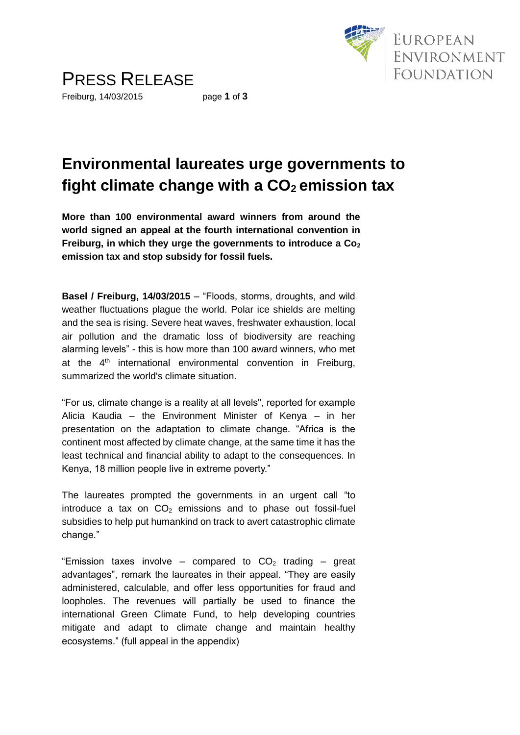

### **Environmental laureates urge governments to fight climate change with a CO2 emission tax**

**More than 100 environmental award winners from around the world signed an appeal at the fourth international convention in Freiburg, in which they urge the governments to introduce a Co<sup>2</sup> emission tax and stop subsidy for fossil fuels.**

**Basel / Freiburg, 14/03/2015** – "Floods, storms, droughts, and wild weather fluctuations plague the world. Polar ice shields are melting and the sea is rising. Severe heat waves, freshwater exhaustion, local air pollution and the dramatic loss of biodiversity are reaching alarming levels" - this is how more than 100 award winners, who met at the  $4<sup>th</sup>$  international environmental convention in Freiburg, summarized the world's climate situation.

"For us, climate change is a reality at all levels", reported for example Alicia Kaudia – the Environment Minister of Kenya – in her presentation on the adaptation to climate change. "Africa is the continent most affected by climate change, at the same time it has the least technical and financial ability to adapt to the consequences. In Kenya, 18 million people live in extreme poverty."

The laureates prompted the governments in an urgent call "to introduce a tax on  $CO<sub>2</sub>$  emissions and to phase out fossil-fuel subsidies to help put humankind on track to avert catastrophic climate change."

"Emission taxes involve – compared to  $CO<sub>2</sub>$  trading – great advantages", remark the laureates in their appeal. "They are easily administered, calculable, and offer less opportunities for fraud and loopholes. The revenues will partially be used to finance the international Green Climate Fund, to help developing countries mitigate and adapt to climate change and maintain healthy ecosystems." (full appeal in the appendix)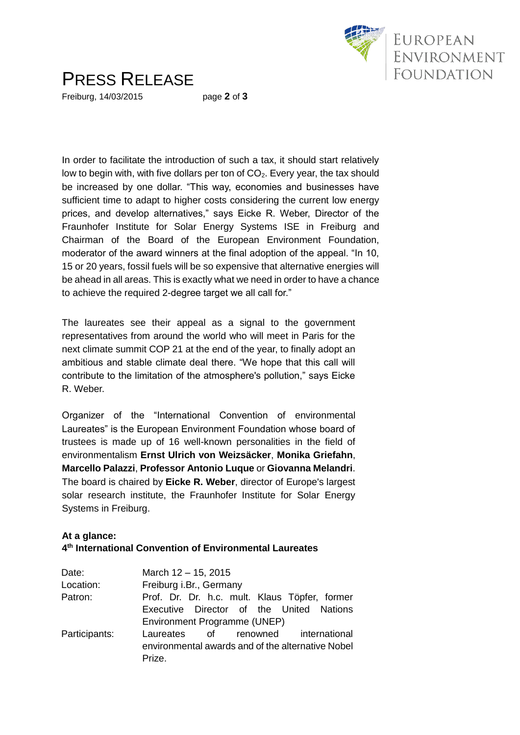

## PRESS RELEASE

Freiburg, 14/03/2015 page **2** of **3**

In order to facilitate the introduction of such a tax, it should start relatively low to begin with, with five dollars per ton of  $CO<sub>2</sub>$ . Every year, the tax should be increased by one dollar. "This way, economies and businesses have sufficient time to adapt to higher costs considering the current low energy prices, and develop alternatives," says Eicke R. Weber, Director of the Fraunhofer Institute for Solar Energy Systems ISE in Freiburg and Chairman of the Board of the European Environment Foundation, moderator of the award winners at the final adoption of the appeal. "In 10, 15 or 20 years, fossil fuels will be so expensive that alternative energies will be ahead in all areas. This is exactly what we need in order to have a chance to achieve the required 2-degree target we all call for."

The laureates see their appeal as a signal to the government representatives from around the world who will meet in Paris for the next climate summit COP 21 at the end of the year, to finally adopt an ambitious and stable climate deal there. "We hope that this call will contribute to the limitation of the atmosphere's pollution," says Eicke R. Weber.

Organizer of the "International Convention of environmental Laureates" is the European Environment Foundation whose board of trustees is made up of 16 well-known personalities in the field of environmentalism **Ernst Ulrich von Weizsäcker**, **Monika Griefahn**, **Marcello Palazzi**, **Professor Antonio Luque** or **Giovanna Melandri**. The board is chaired by **Eicke R. Weber**, director of Europe's largest solar research institute, the Fraunhofer Institute for Solar Energy Systems in Freiburg.

### **At a glance: 4 th International Convention of Environmental Laureates**

| Date:         | March 12 - 15, 2015                               |
|---------------|---------------------------------------------------|
| Location:     | Freiburg i.Br., Germany                           |
| Patron:       | Prof. Dr. Dr. h.c. mult. Klaus Töpfer, former     |
|               | Executive Director of the United Nations          |
|               | Environment Programme (UNEP)                      |
| Participants: | Laureates of renowned international               |
|               | environmental awards and of the alternative Nobel |
|               | Prize.                                            |